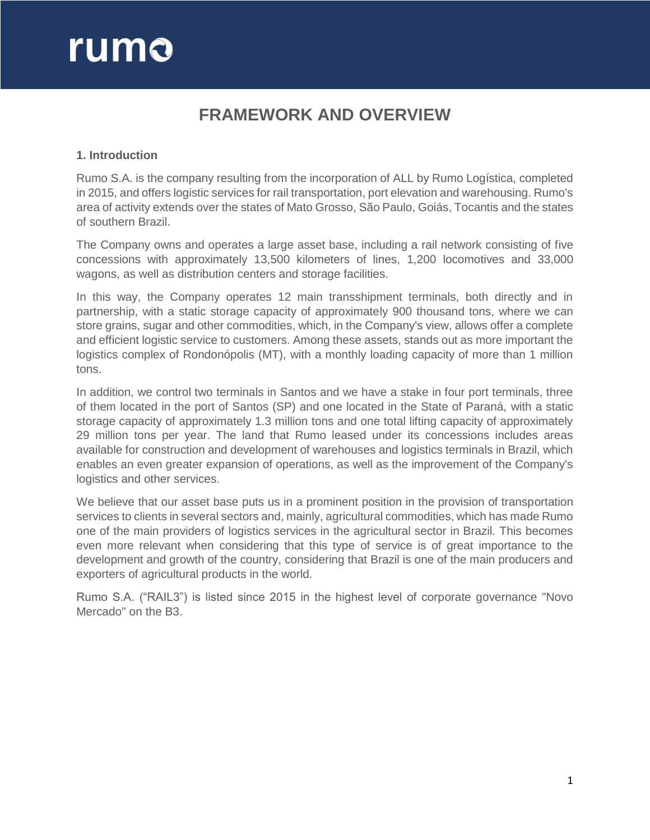# rumo

## **FRAMEWORK AND OVERVIEW**

## **1. Introduction**

Rumo S.A. is the company resulting from the incorporation of ALL by Rumo Logística, completed in 2015, and offers logistic services for rail transportation, port elevation and warehousing. Rumo's area of activity extends over the states of Mato Grosso, São Paulo, Goiás, Tocantis and the states of southern Brazil.

The Company owns and operates a large asset base, including a rail network consisting of five concessions with approximately 13,500 kilometers of lines, 1,200 locomotives and 33,000 wagons, as well as distribution centers and storage facilities.

In this way, the Company operates 12 main transshipment terminals, both directly and in partnership, with a static storage capacity of approximately 900 thousand tons, where we can store grains, sugar and other commodities, which, in the Company's view, allows offer a complete and efficient logistic service to customers. Among these assets, stands out as more important the logistics complex of Rondonópolis (MT), with a monthly loading capacity of more than 1 million tons.

In addition, we control two terminals in Santos and we have a stake in four port terminals, three of them located in the port of Santos (SP) and one located in the State of Paraná, with a static storage capacity of approximately 1.3 million tons and one total lifting capacity of approximately 29 million tons per year. The land that Rumo leased under its concessions includes areas available for construction and development of warehouses and logistics terminals in Brazil, which enables an even greater expansion of operations, as well as the improvement of the Company's logistics and other services.

We believe that our asset base puts us in a prominent position in the provision of transportation services to clients in several sectors and, mainly, agricultural commodities, which has made Rumo one of the main providers of logistics services in the agricultural sector in Brazil. This becomes even more relevant when considering that this type of service is of great importance to the development and growth of the country, considering that Brazil is one of the main producers and exporters of agricultural products in the world.

Rumo S.A. ("RAIL3") is listed since 2015 in the highest level of corporate governance "Novo Mercado" on the B3.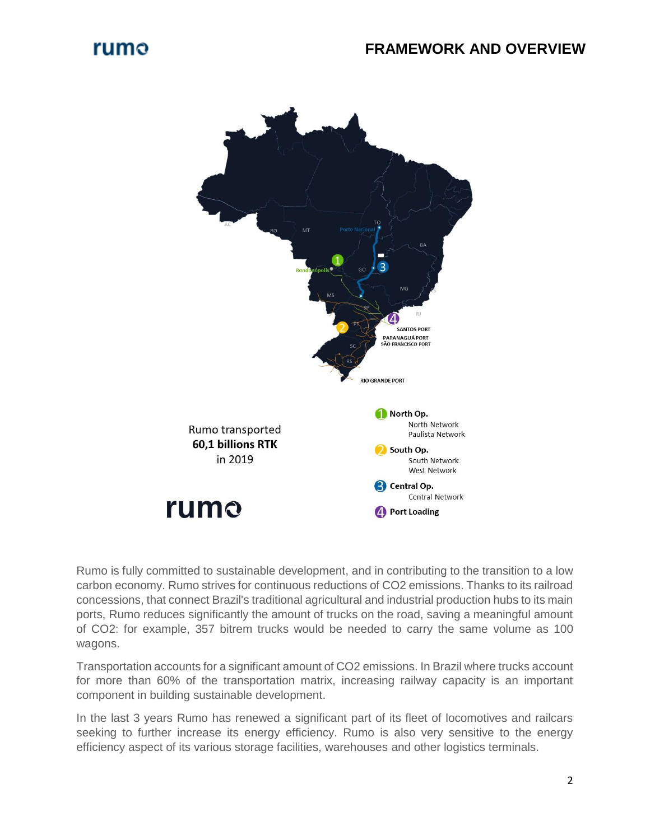

Rumo is fully committed to sustainable development, and in contributing to the transition to a low carbon economy. Rumo strives for continuous reductions of CO2 emissions. Thanks to its railroad concessions, that connect Brazil's traditional agricultural and industrial production hubs to its main ports, Rumo reduces significantly the amount of trucks on the road, saving a meaningful amount of CO2: for example, 357 bitrem trucks would be needed to carry the same volume as 100 wagons.

Transportation accounts for a significant amount of CO2 emissions. In Brazil where trucks account for more than 60% of the transportation matrix, increasing railway capacity is an important component in building sustainable development.

In the last 3 years Rumo has renewed a significant part of its fleet of locomotives and railcars seeking to further increase its energy efficiency. Rumo is also very sensitive to the energy efficiency aspect of its various storage facilities, warehouses and other logistics terminals.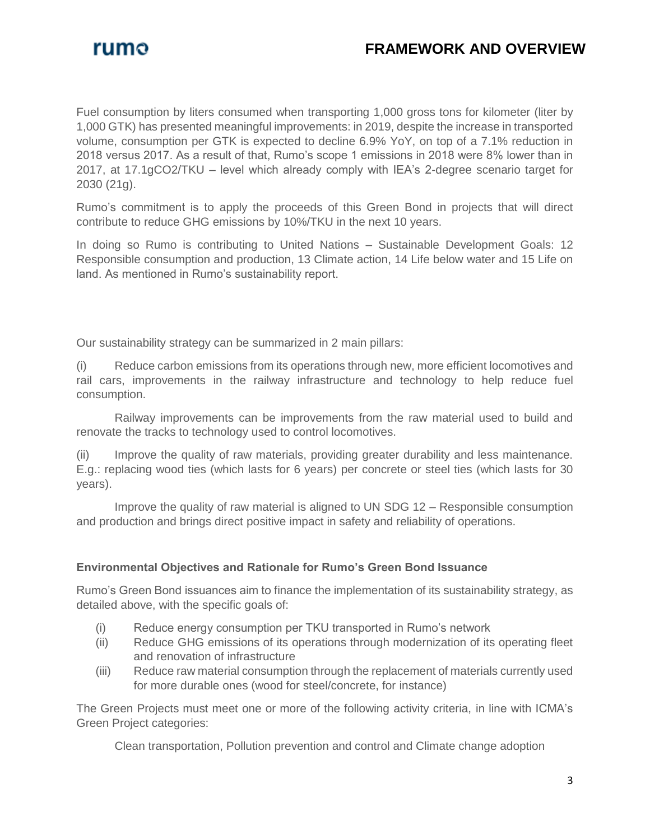

## **FRAMEWORK AND OVERVIEW**

Fuel consumption by liters consumed when transporting 1,000 gross tons for kilometer (liter by 1,000 GTK) has presented meaningful improvements: in 2019, despite the increase in transported volume, consumption per GTK is expected to decline 6.9% YoY, on top of a 7.1% reduction in 2018 versus 2017. As a result of that, Rumo's scope 1 emissions in 2018 were 8% lower than in 2017, at 17.1gCO2/TKU – level which already comply with IEA's 2-degree scenario target for 2030 (21g).

Rumo's commitment is to apply the proceeds of this Green Bond in projects that will direct contribute to reduce GHG emissions by 10%/TKU in the next 10 years.

In doing so Rumo is contributing to United Nations – Sustainable Development Goals: 12 Responsible consumption and production, 13 Climate action, 14 Life below water and 15 Life on land. As mentioned in Rumo's sustainability report.

Our sustainability strategy can be summarized in 2 main pillars:

(i) Reduce carbon emissions from its operations through new, more efficient locomotives and rail cars, improvements in the railway infrastructure and technology to help reduce fuel consumption.

Railway improvements can be improvements from the raw material used to build and renovate the tracks to technology used to control locomotives.

(ii) Improve the quality of raw materials, providing greater durability and less maintenance. E.g.: replacing wood ties (which lasts for 6 years) per concrete or steel ties (which lasts for 30 years).

Improve the quality of raw material is aligned to UN SDG 12 – Responsible consumption and production and brings direct positive impact in safety and reliability of operations.

## **Environmental Objectives and Rationale for Rumo's Green Bond Issuance**

Rumo's Green Bond issuances aim to finance the implementation of its sustainability strategy, as detailed above, with the specific goals of:

- (i) Reduce energy consumption per TKU transported in Rumo's network
- (ii) Reduce GHG emissions of its operations through modernization of its operating fleet and renovation of infrastructure
- (iii) Reduce raw material consumption through the replacement of materials currently used for more durable ones (wood for steel/concrete, for instance)

The Green Projects must meet one or more of the following activity criteria, in line with ICMA's Green Project categories:

Clean transportation, Pollution prevention and control and Climate change adoption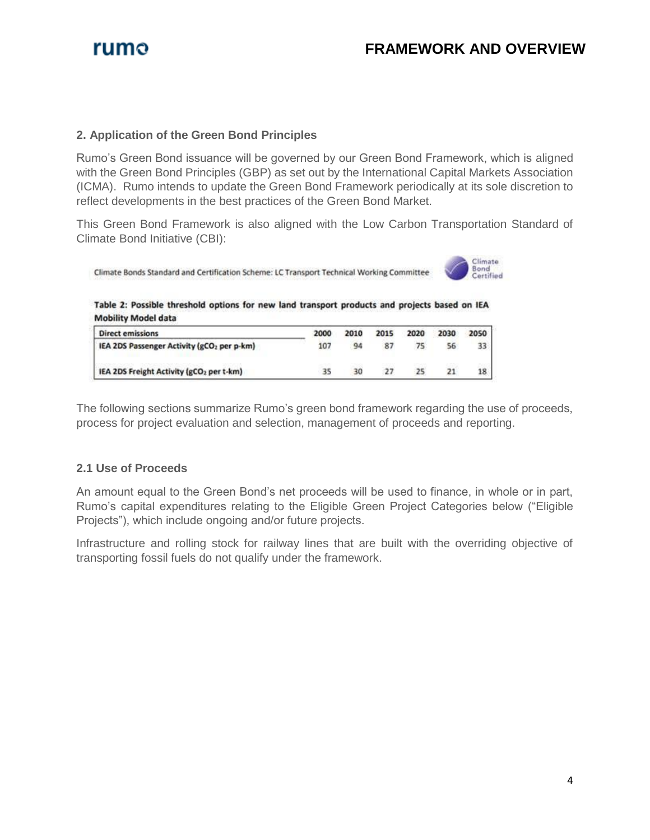

#### **2. Application of the Green Bond Principles**

Rumo's Green Bond issuance will be governed by our Green Bond Framework, which is aligned with the Green Bond Principles (GBP) as set out by the International Capital Markets Association (ICMA). Rumo intends to update the Green Bond Framework periodically at its sole discretion to reflect developments in the best practices of the Green Bond Market.

This Green Bond Framework is also aligned with the Low Carbon Transportation Standard of Climate Bond Initiative (CBI):

Climate Bonds Standard and Certification Scheme: LC Transport Technical Working Committee



Table 2: Possible threshold options for new land transport products and projects based on IEA **Mobility Model data** 

| <b>Direct emissions</b>                                | 2000 | 2010 | 2015 | 2020 | 2030 | 2050 |
|--------------------------------------------------------|------|------|------|------|------|------|
| IEA 2DS Passenger Activity (gCO <sub>2</sub> per p-km) | 107  | 94   | 87   |      | 56   | 33   |
| IEA 2DS Freight Activity (gCO2 per t-km)               |      | 30   |      |      | 21   | 18   |

The following sections summarize Rumo's green bond framework regarding the use of proceeds, process for project evaluation and selection, management of proceeds and reporting.

## **2.1 Use of Proceeds**

An amount equal to the Green Bond's net proceeds will be used to finance, in whole or in part, Rumo's capital expenditures relating to the Eligible Green Project Categories below ("Eligible Projects"), which include ongoing and/or future projects.

Infrastructure and rolling stock for railway lines that are built with the overriding objective of transporting fossil fuels do not qualify under the framework.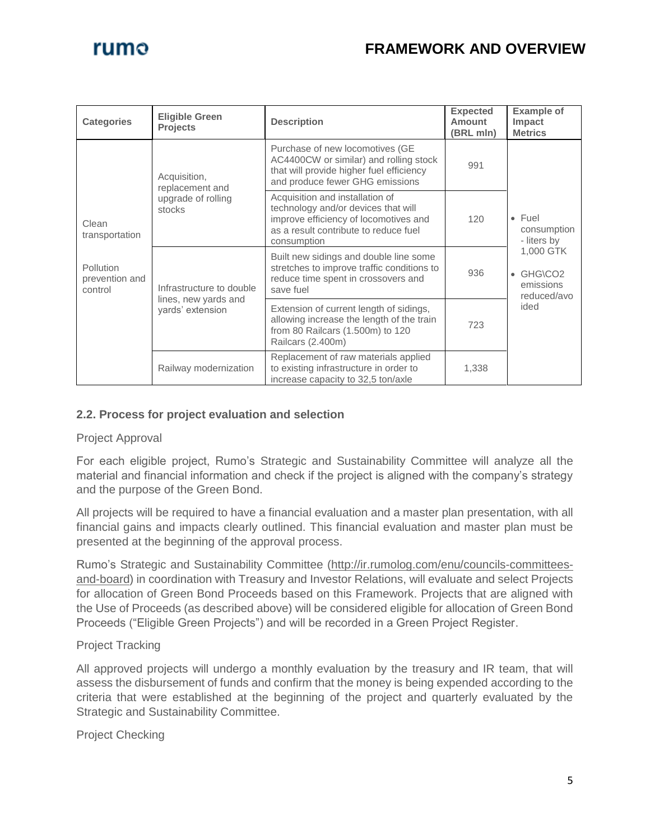## rumo

## **FRAMEWORK AND OVERVIEW**

| <b>Categories</b>                                                 | <b>Eligible Green</b><br><b>Projects</b>                             | <b>Description</b>                                                                                                                                                      | <b>Expected</b><br><b>Amount</b><br>(BRL mln) | <b>Example of</b><br>Impact<br><b>Metrics</b>              |  |  |
|-------------------------------------------------------------------|----------------------------------------------------------------------|-------------------------------------------------------------------------------------------------------------------------------------------------------------------------|-----------------------------------------------|------------------------------------------------------------|--|--|
| Clean<br>transportation<br>Pollution<br>prevention and<br>control | Acquisition,<br>replacement and<br>upgrade of rolling<br>stocks      | Purchase of new locomotives (GE<br>AC4400CW or similar) and rolling stock<br>that will provide higher fuel efficiency<br>and produce fewer GHG emissions                | 991                                           |                                                            |  |  |
|                                                                   |                                                                      | Acquisition and installation of<br>technology and/or devices that will<br>improve efficiency of locomotives and<br>as a result contribute to reduce fuel<br>consumption | 120                                           | $\bullet$ Fuel<br>consumption<br>- liters by               |  |  |
|                                                                   | Infrastructure to double<br>lines, new yards and<br>yards' extension | Built new sidings and double line some<br>stretches to improve traffic conditions to<br>reduce time spent in crossovers and<br>save fuel                                | 936                                           | 1,000 GTK<br>$\bullet$ GHG\CO2<br>emissions<br>reduced/avo |  |  |
|                                                                   |                                                                      | Extension of current length of sidings,<br>allowing increase the length of the train<br>from 80 Railcars (1.500m) to 120<br>Railcars (2.400m)                           | 723                                           | ided                                                       |  |  |
|                                                                   | Railway modernization                                                | Replacement of raw materials applied<br>to existing infrastructure in order to<br>increase capacity to 32,5 ton/axle                                                    | 1,338                                         |                                                            |  |  |

## **2.2. Process for project evaluation and selection**

## Project Approval

For each eligible project, Rumo's Strategic and Sustainability Committee will analyze all the material and financial information and check if the project is aligned with the company's strategy and the purpose of the Green Bond.

All projects will be required to have a financial evaluation and a master plan presentation, with all financial gains and impacts clearly outlined. This financial evaluation and master plan must be presented at the beginning of the approval process.

Rumo's Strategic and Sustainability Committee [\(http://ir.rumolog.com/enu/councils-committees](http://ir.rumolog.com/enu/councils-committees-and-board)[and-board\)](http://ir.rumolog.com/enu/councils-committees-and-board) in coordination with Treasury and Investor Relations, will evaluate and select Projects for allocation of Green Bond Proceeds based on this Framework. Projects that are aligned with the Use of Proceeds (as described above) will be considered eligible for allocation of Green Bond Proceeds ("Eligible Green Projects") and will be recorded in a Green Project Register.

## Project Tracking

All approved projects will undergo a monthly evaluation by the treasury and IR team, that will assess the disbursement of funds and confirm that the money is being expended according to the criteria that were established at the beginning of the project and quarterly evaluated by the Strategic and Sustainability Committee.

Project Checking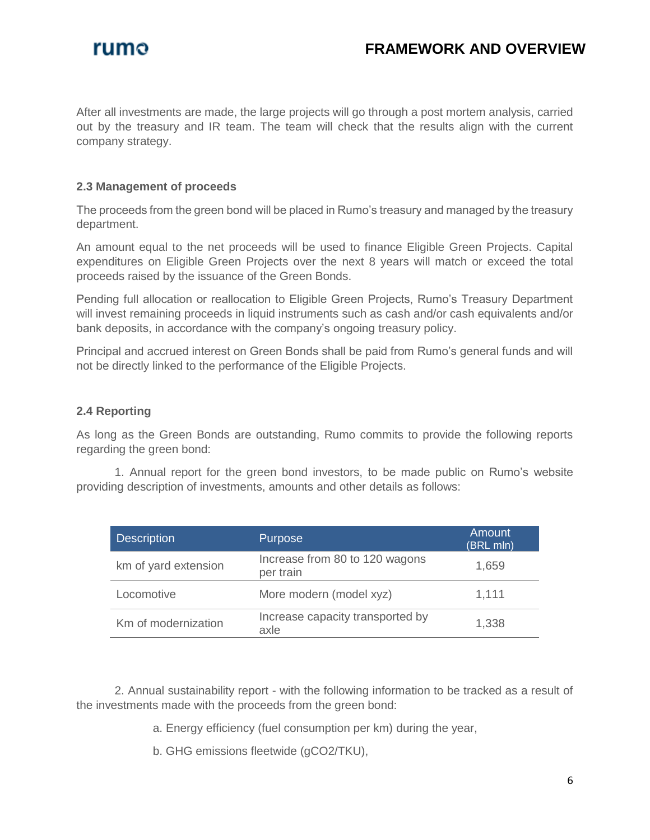

After all investments are made, the large projects will go through a post mortem analysis, carried out by the treasury and IR team. The team will check that the results align with the current company strategy.

## **2.3 Management of proceeds**

The proceeds from the green bond will be placed in Rumo's treasury and managed by the treasury department.

An amount equal to the net proceeds will be used to finance Eligible Green Projects. Capital expenditures on Eligible Green Projects over the next 8 years will match or exceed the total proceeds raised by the issuance of the Green Bonds.

Pending full allocation or reallocation to Eligible Green Projects, Rumo's Treasury Department will invest remaining proceeds in liquid instruments such as cash and/or cash equivalents and/or bank deposits, in accordance with the company's ongoing treasury policy.

Principal and accrued interest on Green Bonds shall be paid from Rumo's general funds and will not be directly linked to the performance of the Eligible Projects.

#### **2.4 Reporting**

As long as the Green Bonds are outstanding, Rumo commits to provide the following reports regarding the green bond:

1. Annual report for the green bond investors, to be made public on Rumo's website providing description of investments, amounts and other details as follows:

| <b>Description</b>   | Purpose                                     | Amount<br>(BRL mln) |
|----------------------|---------------------------------------------|---------------------|
| km of yard extension | Increase from 80 to 120 wagons<br>per train | 1,659               |
| Locomotive           | More modern (model xyz)                     | 1,111               |
| Km of modernization  | Increase capacity transported by<br>axle    | 1,338               |

2. Annual sustainability report - with the following information to be tracked as a result of the investments made with the proceeds from the green bond:

- a. Energy efficiency (fuel consumption per km) during the year,
- b. GHG emissions fleetwide (gCO2/TKU),